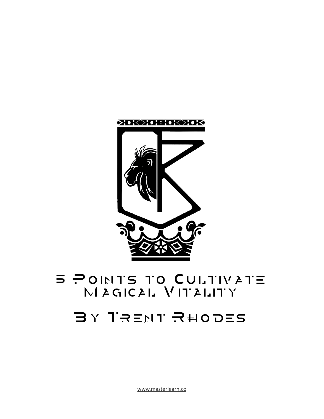[www.masterlearn.co](http://www.masterlearn.co)

# $BY$  TRENT RHODES

 $M$  A GIC AL $N$ IT ALITY

**E POINTS TO CULTIVATE** 

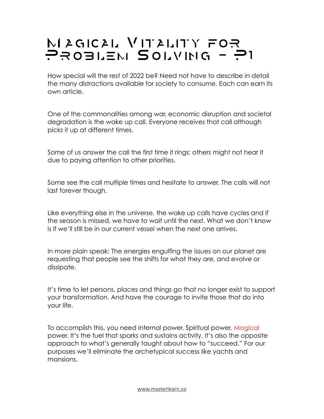# $M$ AGICAL VITALITY FOR PROBLEM SOLVING - P1

How special will the rest of 2022 be? Need not have to describe in detail the many distractions available for society to consume. Each can earn its own article.

One of the commonalities among war, economic disruption and societal degradation is the wake up call. Everyone receives that call although picks it up at different times.

Some of us answer the call the first time it rings; others might not hear it due to paying attention to other priorities.

Some see the call multiple times and hesitate to answer. The calls will not last forever though.

Like everything else in the universe, the wake up calls have cycles and if the season is missed, we have to wait until the next. What we don't know is if we'll still be in our current vessel when the next one arrives.

In more plain speak: The energies engulfing the issues on our planet are requesting that people see the shifts for what they are, and evolve or dissipate.

It's time to let persons, places and things go that no longer exist to support your transformation. And have the courage to invite those that do into your life.

To accomplish this, you need internal power. Spiritual power. [Magical](https://www.crownofmind.com/grounding-imagination-in-the-assemblages-mozaic-magazine/) power. It's the fuel that sparks and sustains activity. It's also the opposite approach to what's generally taught about how to "succeed." For our purposes we'll eliminate the archetypical success like yachts and mansions.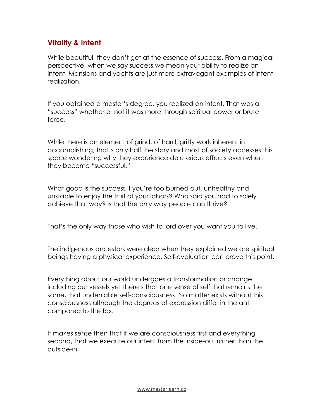### **Vitality & Intent**

While beautiful, they don't get at the essence of success. From a magical perspective, when we say success we mean your ability to realize an intent. Mansions and yachts are just more extravagant examples of intent realization.

If you obtained a master's degree, you realized an intent. That was a "success" whether or not it was more through spiritual power or brute force.

While there is an element of grind, of hard, gritty work inherent in accomplishing, that's only half the story and most of society accesses this space wondering why they experience deleterious effects even when they become "successful."

What good is the success if you're too burned out, unhealthy and unstable to enjoy the fruit of your labors? Who said you had to solely achieve that way? Is that the only way people can thrive?

That's the only way those who wish to lord over you want you to live.

The indigenous ancestors were clear when they explained we are spiritual beings having a physical experience. Self-evaluation can prove this point.

Everything about our world undergoes a transformation or change including our vessels yet there's that one sense of self that remains the same, that undeniable self-consciousness. No matter exists without this consciousness although the degrees of expression differ in the ant compared to the fox.

It makes sense then that if we are consciousness first and everything second, that we execute our intent from the inside-out rather than the outside-in.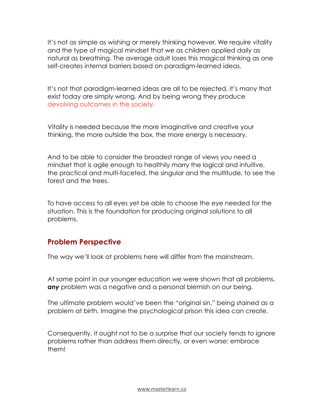It's not as simple as wishing or merely thinking however. We require vitality and the type of magical mindset that we as children applied daily as natural as breathing. The average adult loses this magical thinking as one self-creates internal barriers based on paradigm-learned ideas.

It's not that paradigm-learned ideas are all to be rejected, it's many that exist today are simply wrong. And by being wrong they produce [devolving outcomes in the society](https://www.crownofmind.com/the-science-psychology-of-mind-virus-hexes/).

Vitality is needed because the more imaginative and creative your thinking, the more outside the box, the more energy is necessary.

And to be able to consider the broadest range of views you need a mindset that is agile enough to healthily marry the logical and intuitive, the practical and multi-faceted, the singular and the multitude, to see the forest and the trees.

To have access to all eyes yet be able to choose the eye needed for the situation. This is the foundation for producing original solutions to all problems.

#### **Problem Perspective**

The way we'll look at problems here will differ from the mainstream.

At some point in our younger education we were shown that all problems, *any* problem was a negative and a personal blemish on our being.

The ultimate problem would've been the "original sin," being stained as a problem at birth. Imagine the psychological prison this idea can create.

Consequently, it ought not to be a surprise that our society tends to ignore problems rather than address them directly, or even worse: embrace them!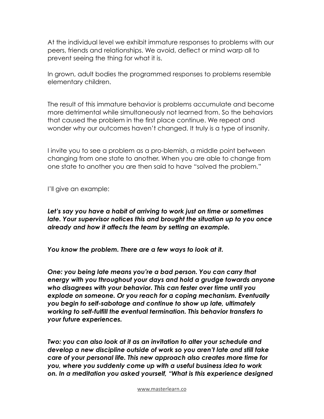At the individual level we exhibit immature responses to problems with our peers, friends and relationships. We avoid, deflect or mind warp all to prevent seeing the thing for what it is.

In grown, adult bodies the programmed responses to problems resemble elementary children.

The result of this immature behavior is problems accumulate and become more detrimental while simultaneously not learned from. So the behaviors that caused the problem in the first place continue. We repeat and wonder why our outcomes haven't changed. It truly is a type of insanity.

I invite you to see a problem as a pro-blemish, a middle point between changing from one state to another. When you are able to change from one state to another you are then said to have "solved the problem."

I'll give an example:

*Let's say you have a habit of arriving to work just on time or sometimes late. Your supervisor notices this and brought the situation up to you once already and how it affects the team by setting an example.*

*You know the problem. There are a few ways to look at it.*

*One: you being late means you're a bad person. You can carry that energy with you throughout your days and hold a grudge towards anyone who disagrees with your behavior. This can fester over time until you explode on someone. Or you reach for a coping mechanism. Eventually you begin to self-sabotage and continue to show up late, ultimately working to self-fulfill the eventual termination. This behavior transfers to your future experiences.*

*Two: you can also look at it as an invitation to alter your schedule and develop a new discipline outside of work so you aren't late and still take care of your personal life. This new approach also creates more time for you, where you suddenly come up with a useful business idea to work on. In a meditation you asked yourself, "What is this experience designed*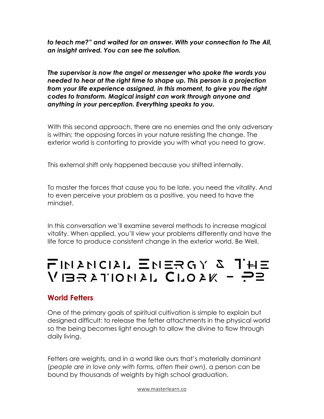*to teach me?" and waited for an answer. With your connection to The All, an insight arrived. You can see the solution.*

*The supervisor is now the angel or messenger who spoke the words you needed to hear at the right time to shape up. This person is a projection from your life experience assigned, in this moment, to give you the right codes to transform. Magical insight can work through anyone and anything in your perception. Everything speaks to you.*

With this second approach, there are no enemies and the only adversary is within; the opposing forces in your nature resisting the change. The exterior world is contorting to provide you with what you need to grow.

This external shift only happened because you shifted internally.

To master the forces that cause you to be late, you need the vitality. And to even perceive your problem as a positive, you need to have the mindset.

In this conversation we'll examine several methods to increase magical vitality. When applied, you'll view your problems differently and have the life force to produce consistent change in the exterior world. Be Well.

# Financial Energy & The  $V$ IBRATIONAL CLOAK - P2

#### **World Fetters**

One of the primary goals of spiritual cultivation is simple to explain but designed difficult: to release the fetter attachments in the physical world so the being becomes light enough to allow the divine to flow through daily living.

Fetters are weights, and in a world like ours that's materially dominant (*people are in love only with forms, often their own*), a person can be bound by thousands of weights by high school graduation.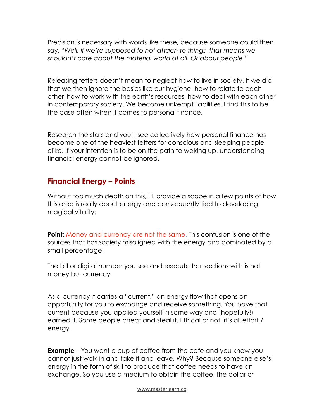Precision is necessary with words like these, because someone could then say, "*Well, if we're supposed to not attach to things, that means we shouldn't care about the material world at all. Or about people*."

Releasing fetters doesn't mean to neglect how to live in society. If we did that we then ignore the basics like our hygiene, how to relate to each other, how to work with the earth's resources, how to deal with each other in contemporary society. We become unkempt liabilities. I find this to be the case often when it comes to personal finance.

Research the stats and you'll see collectively how personal finance has become one of the heaviest fetters for conscious and sleeping people alike. If your intention is to be on the path to waking up, understanding financial energy cannot be ignored.

#### **Financial Energy – Points**

Without too much depth on this, I'll provide a scope in a few points of how this area is really about energy and consequently tied to developing magical vitality:

**Point:** [Money and currency are not the same](https://www.google.com/url?sa=t&rct=j&q=&esrc=s&source=web&cd=&cad=rja&uact=8&ved=2ahUKEwj7hvmDgO32AhXChOAKHR0xBVoQtwJ6BAgLEAI&url=https%3A%2F%2Fwww.youtube.com%2Fwatch%3Fv%3DDyV0OfU3-FU&usg=AOvVaw2c1JWBeRRyq0QfSnC-xrSs&mc_cid=3322575ff5&mc_eid=UNIQID). This confusion is one of the sources that has society misaligned with the energy and dominated by a small percentage.

The bill or digital number you see and execute transactions with is not money but currency.

As a currency it carries a "current," an energy flow that opens an opportunity for you to exchange and receive something. You have that current because you applied yourself in some way and (hopefully!) earned it. Some people cheat and steal it. Ethical or not, it's all effort / energy.

**Example** – You want a cup of coffee from the cafe and you know you cannot just walk in and take it and leave. Why? Because someone else's energy in the form of skill to produce that coffee needs to have an exchange. So you use a medium to obtain the coffee, the dollar or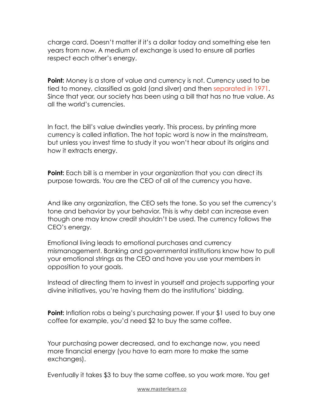charge card. Doesn't matter if it's a dollar today and something else ten years from now. A medium of exchange is used to ensure all parties respect each other's energy.

**Point:** Money is a store of value and currency is not. Currency used to be tied to money, classified as gold (and silver) and then [separated in 1971](https://www.federalreservehistory.org/essays/gold-convertibility-ends?mc_cid=3322575ff5&mc_eid=UNIQID). Since that year, our society has been using a bill that has no true value. As all the world's currencies.

In fact, the bill's value dwindles yearly. This process, by printing more currency is called inflation. The hot topic word is now in the mainstream, but unless you invest time to study it you won't hear about its origins and how it extracts energy.

**Point:** Each bill is a member in your organization that you can direct its purpose towards. You are the CEO of all of the currency you have.

And like any organization, the CEO sets the tone. So you set the currency's tone and behavior by your behavior. This is why debt can increase even though one may know credit shouldn't be used. The currency follows the CEO's energy.

Emotional living leads to emotional purchases and currency mismanagement. Banking and governmental institutions know how to pull your emotional strings as the CEO and have you use your members in opposition to your goals.

Instead of directing them to invest in yourself and projects supporting your divine initiatives, you're having them do the institutions' bidding.

**Point:** Inflation robs a being's purchasing power. If your \$1 used to buy one coffee for example, you'd need \$2 to buy the same coffee.

Your purchasing power decreased, and to exchange now, you need more financial energy (you have to earn more to make the same exchanges).

Eventually it takes \$3 to buy the same coffee, so you work more. You get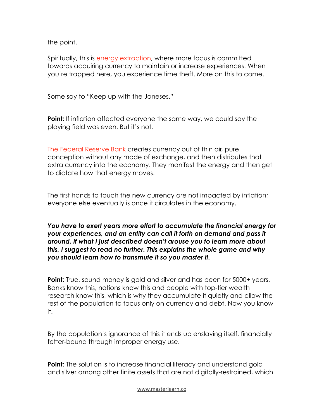the point.

Spiritually, this is [energy extraction](https://www.crownofmind.com/treatise-on-the-chakra-vampire/), where more focus is committed towards acquiring currency to maintain or increase experiences. When you're trapped here, you experience time theft. More on this to come.

Some say to "Keep up with the Joneses."

**Point:** If inflation affected everyone the same way, we could say the playing field was even. But it's not.

[The Federal Reserve Bank](https://www.amazon.com/Creature-Jekyll-Island-Federal-Reserve/dp/091298645X?mc_cid=3322575ff5&mc_eid=UNIQID) creates currency out of thin air, pure conception without any mode of exchange, and then distributes that extra currency into the economy. They manifest the energy and then get to dictate how that energy moves.

The first hands to touch the new currency are not impacted by inflation; everyone else eventually is once it circulates in the economy.

*You have to exert years more effort to accumulate the financial energy for your experiences, and an entity can call it forth on demand and pass it around. If what I just described doesn't arouse you to learn more about this, I suggest to read no further. This explains the whole game and why you should learn how to transmute it so you master it.*

**Point:** True, sound money is gold and silver and has been for 5000+ years. Banks know this, nations know this and people with top-tier wealth research know this, which is why they accumulate it quietly and allow the rest of the population to focus only on currency and debt. Now you know it.

By the population's ignorance of this it ends up enslaving itself, financially fetter-bound through improper energy use.

**Point:** The solution is to increase financial literacy and understand gold and silver among other finite assets that are not digitally-restrained, which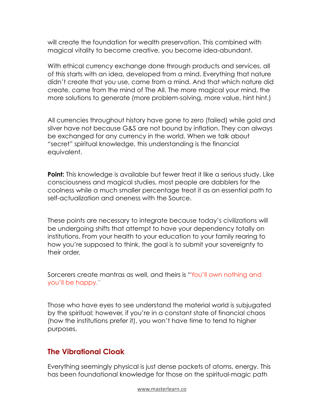will create the foundation for wealth preservation. This combined with magical vitality to become creative, you become idea-abundant.

With ethical currency exchange done through products and services, all of this starts with an idea, developed from a mind. Everything that nature didn't create that you use, came from a mind. And that which nature did create, came from the mind of The All. The more magical your mind, the more solutions to generate (more problem-solving, more value, hint hint.)

All currencies throughout history have gone to zero (failed) while gold and silver have not because G&S are not bound by inflation. They can always be exchanged for any currency in the world. When we talk about "secret" spiritual knowledge, this understanding is the financial equivalent.

**Point:** This knowledge is available but fewer treat it like a serious study. Like consciousness and magical studies, most people are dabblers for the coolness while a much smaller percentage treat it as an essential path to self-actualization and oneness with the Source.

These points are necessary to integrate because today's civilizations will be undergoing shifts that attempt to have your dependency totally on institutions. From your health to your education to your family rearing to how you're supposed to think, the goal is to submit your sovereignty to their order.

Sorcerers create mantras as well, and theirs is "You'll [own nothing and](https://www.weforum.org/agenda/2016/11/8-predictions-for-the-world-in-2030/?mc_cid=3322575ff5&mc_eid=UNIQID)  you'll [be happy.](https://www.weforum.org/agenda/2016/11/8-predictions-for-the-world-in-2030/?mc_cid=3322575ff5&mc_eid=UNIQID)"

Those who have eyes to see understand the material world is subjugated by the spiritual; however, if you're in a constant state of financial chaos (how the institutions prefer it), you won't have time to tend to higher purposes.

#### **The Vibrational Cloak**

Everything seemingly physical is just dense packets of atoms, energy. This has been foundational knowledge for those on the spiritual-magic path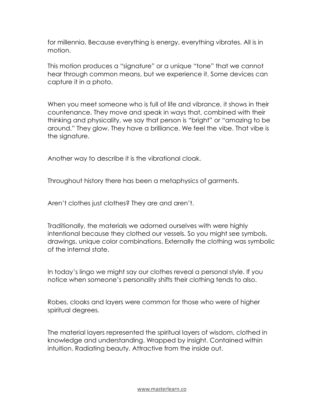for millennia. Because everything is energy, everything vibrates. All is in motion.

This motion produces a "signature" or a unique "tone" that we cannot hear through common means, but we experience it. Some devices can capture it in a photo.

When you meet someone who is full of life and vibrance, it shows in their countenance. They move and speak in ways that, combined with their thinking and physicality, we say that person is "bright" or "amazing to be around." They glow. They have a brilliance. We feel the vibe. That vibe is the signature.

Another way to describe it is the vibrational cloak.

Throughout history there has been a metaphysics of garments.

Aren't clothes just clothes? They are and aren't.

Traditionally, the materials we adorned ourselves with were highly intentional because they clothed our vessels. So you might see symbols, drawings, unique color combinations. Externally the clothing was symbolic of the internal state.

In today's lingo we might say our clothes reveal a personal style. If you notice when someone's personality shifts their clothing tends to also.

Robes, cloaks and layers were common for those who were of higher spiritual degrees.

The material layers represented the spiritual layers of wisdom, clothed in knowledge and understanding. Wrapped by insight. Contained within intuition. Radiating beauty. Attractive from the inside out.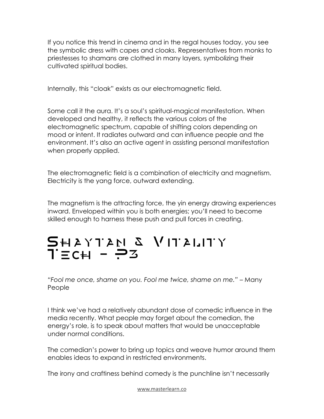If you notice this trend in cinema and in the regal houses today, you see the symbolic dress with capes and cloaks. Representatives from monks to priestesses to shamans are clothed in many layers, symbolizing their cultivated spiritual bodies.

Internally, this "cloak" exists as our electromagnetic field.

Some call it the aura. It's a soul's spiritual-magical manifestation. When developed and healthy, it reflects the various colors of the electromagnetic spectrum, capable of shifting colors depending on mood or intent. It radiates outward and can influence people and the environment. It's also an active agent in assisting personal manifestation when properly applied.

The electromagnetic field is a combination of electricity and magnetism. Electricity is the yang force, outward extending.

The magnetism is the attracting force, the yin energy drawing experiences inward. Enveloped within you is both energies; you'll need to become skilled enough to harness these push and pull forces in creating.

# $\overline{\mathbf{S}}$ H A Y T A  $\overline{\mathbf{M}}$   $\mathbf{S}$   $\mathbf{V}$  I T A LIT Y Tech - P3

*"Fool me once, shame on you. Fool me twice, shame on me."* – Many People

I think we've had a relatively abundant dose of comedic influence in the media recently. What people may forget about the comedian, the energy's role, is to speak about matters that would be unacceptable under normal conditions.

The comedian's power to bring up topics and weave humor around them enables ideas to expand in restricted environments.

The irony and craftiness behind comedy is the punchline isn't necessarily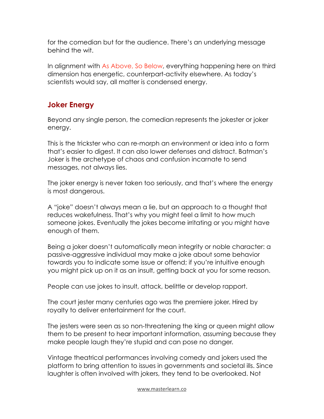for the comedian but for the audience. There's an underlying message behind the wit.

In alignment with [As Above, So Below,](https://www.crownofmind.com/3-principles-practical-personal-power/) everything happening here on third dimension has energetic, counterpart-activity elsewhere. As today's scientists would say, all matter is condensed energy.

## **Joker Energy**

Beyond any single person, the comedian represents the jokester or joker energy.

This is the trickster who can re-morph an environment or idea into a form that's easier to digest. It can also lower defenses and distract. Batman's Joker is the archetype of chaos and confusion incarnate to send messages, not always lies.

The joker energy is never taken too seriously, and that's where the energy is most dangerous.

A "joke" doesn't always mean a lie, but an approach to a thought that reduces wakefulness. That's why you might feel a limit to how much someone jokes. Eventually the jokes become irritating or you might have enough of them.

Being a joker doesn't automatically mean integrity or noble character: a passive-aggressive individual may make a joke about some behavior towards you to indicate some issue or offend; if you're intuitive enough you might pick up on it as an insult, getting back at you for some reason.

People can use jokes to insult, attack, belittle or develop rapport.

The court jester many centuries ago was the premiere joker. Hired by royalty to deliver entertainment for the court.

The jesters were seen as so non-threatening the king or queen might allow them to be present to hear important information, assuming because they make people laugh they're stupid and can pose no danger.

Vintage theatrical performances involving comedy and jokers used the platform to bring attention to issues in governments and societal ills. Since laughter is often involved with jokers, they tend to be overlooked. Not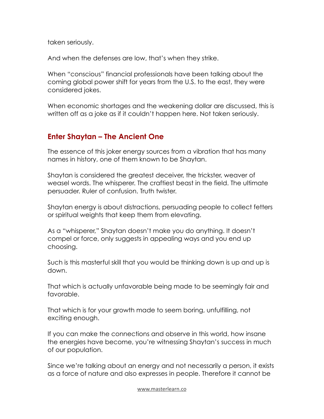taken seriously.

And when the defenses are low, that's when they strike.

When "conscious" financial professionals have been talking about the coming global power shift for years from the U.S. to the east, they were considered jokes.

When economic shortages and the weakening dollar are discussed, this is written off as a joke as if it couldn't happen here. Not taken seriously.

#### **Enter Shaytan – The Ancient One**

The essence of this joker energy sources from a vibration that has many names in history, one of them known to be Shaytan.

Shaytan is considered the greatest deceiver, the trickster, weaver of weasel words. The whisperer. The craftiest beast in the field. The ultimate persuader. Ruler of confusion. Truth twister.

Shaytan energy is about distractions, persuading people to collect fetters or spiritual weights that keep them from elevating.

As a "whisperer," Shaytan doesn't make you do anything. It doesn't compel or force, only suggests in appealing ways and you end up choosing.

Such is this masterful skill that you would be thinking down is up and up is down.

That which is actually unfavorable being made to be seemingly fair and favorable.

That which is for your growth made to seem boring, unfulfilling, not exciting enough.

If you can make the connections and observe in this world, how insane the energies have become, you're witnessing Shaytan's success in much of our population.

Since we're talking about an energy and not necessarily a person, it exists as a force of nature and also expresses in people. Therefore it cannot be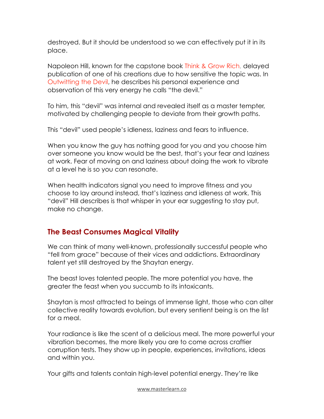destroyed. But it should be understood so we can effectively put it in its place.

Napoleon Hill, known for the capstone book [Think & Grow Rich](https://www.amazon.com/Think-grow-rich-Teaching-money-making/dp/B00087R87I/ref=sr_1_14?crid=1MF5U1YPQNXQZ&keywords=think+and+grow+rich&qid=1649621830&s=books&sprefix=think+and+grow+rich%2Cstripbooks%2C151&sr=1-14), delayed publication of one of his creations due to how sensitive the topic was. In [Outwitting the Devil](https://www.amazon.com/Outwitting-Devil-Official-Publication-Foundation/dp/1640951830/ref=sr_1_1?crid=2XVW8L048RKPJ&keywords=outwitting+the+devil&qid=1649621866&s=books&sprefix=outwitting+the+devil%2Cstripbooks%2C86&sr=1-1), he describes his personal experience and observation of this very energy he calls "the devil."

To him, this "devil" was internal and revealed itself as a master tempter, motivated by challenging people to deviate from their growth paths.

This "devil" used people's idleness, laziness and fears to influence.

When you know the guy has nothing good for you and you choose him over someone you know would be the best, that's your fear and laziness at work. Fear of moving on and laziness about doing the work to vibrate at a level he is so you can resonate.

When health indicators signal you need to improve fitness and you choose to lay around instead, that's laziness and idleness at work. This "devil" Hill describes is that whisper in your ear suggesting to stay put, make no change.

### **The Beast Consumes Magical Vitality**

We can think of many well-known, professionally successful people who "fell from grace" because of their vices and addictions. Extraordinary talent yet still destroyed by the Shaytan energy.

The beast loves talented people. The more potential you have, the greater the feast when you succumb to its intoxicants.

Shaytan is most attracted to beings of immense light, those who can alter collective reality towards evolution, but every sentient being is on the list for a meal.

Your radiance is like the scent of a delicious meal. The more powerful your vibration becomes, the more likely you are to come across craftier corruption tests. They show up in people, experiences, invitations, ideas and within you.

Your gifts and talents contain high-level potential energy. They're like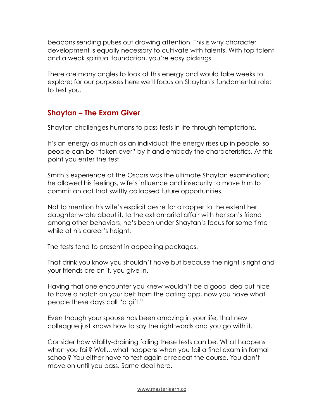beacons sending pulses out drawing attention. This is why character development is equally necessary to cultivate with talents. With top talent and a weak spiritual foundation, you're easy pickings.

There are many angles to look at this energy and would take weeks to explore; for our purposes here we'll focus on Shaytan's fundamental role: to test you.

### **Shaytan – The Exam Giver**

Shaytan challenges humans to pass tests in life through temptations.

It's an energy as much as an individual; the energy rises up in people, so people can be "taken over" by it and embody the characteristics. At this point you enter the test.

Smith's experience at the Oscars was the ultimate Shaytan examination; he allowed his feelings, wife's influence and insecurity to move him to commit an act that swiftly collapsed future opportunities.

Not to mention his wife's explicit desire for a rapper to the extent her daughter wrote about it, to the extramarital affair with her son's friend among other behaviors, he's been under Shaytan's focus for some time while at his career's height.

The tests tend to present in appealing packages.

That drink you know you shouldn't have but because the night is right and your friends are on it, you give in.

Having that one encounter you knew wouldn't be a good idea but nice to have a notch on your belt from the dating app, now you have what people these days call "a gift."

Even though your spouse has been amazing in your life, that new colleague just knows how to say the right words and you go with it.

Consider how vitality-draining failing these tests can be. What happens when you fail? Well…what happens when you fail a final exam in formal school? You either have to test again or repeat the course. You don't move on until you pass. Same deal here.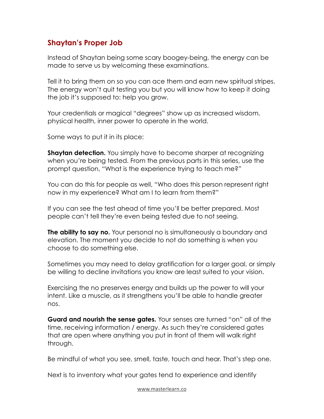### **Shaytan's Proper Job**

Instead of Shaytan being some scary boogey-being, the energy can be made to serve us by welcoming these examinations.

Tell it to bring them on so you can ace them and earn new spiritual stripes. The energy won't quit testing you but you will know how to keep it doing the job it's supposed to: help you grow.

Your credentials or magical "degrees" show up as increased wisdom, physical health, inner power to operate in the world.

Some ways to put it in its place:

**Shaytan detection.** You simply have to become sharper at recognizing when you're being tested. From the previous parts in this series, use the prompt question, "What is the experience trying to teach me?"

You can do this for people as well, "Who does this person represent right now in my experience? What am I to learn from them?"

If you can see the test ahead of time you'll be better prepared. Most people can't tell they're even being tested due to not seeing.

**The ability to say no.** Your personal no is simultaneously a boundary and elevation. The moment you decide to not do something is when you choose to do something else.

Sometimes you may need to delay gratification for a larger goal, or simply be willing to decline invitations you know are least suited to your vision.

Exercising the no preserves energy and builds up the power to will your intent. Like a muscle, as it strengthens you'll be able to handle greater nos.

**Guard and nourish the sense gates.** Your senses are turned "on" all of the time, receiving information / energy. As such they're considered gates that are open where anything you put in front of them will walk right through.

Be mindful of what you see, smell, taste, touch and hear. That's step one.

Next is to inventory what your gates tend to experience and identify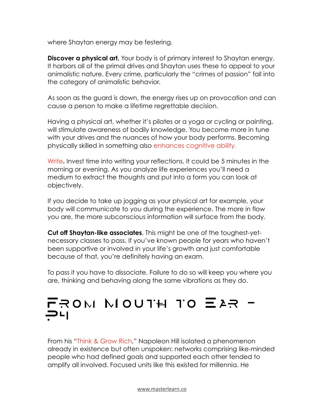where Shaytan energy may be festering.

**Discover a physical art.** Your body is of primary interest to Shaytan energy. It harbors all of the primal drives and Shaytan uses these to appeal to your animalistic nature. Every crime, particularly the "crimes of passion" fall into the category of animalistic behavior.

As soon as the guard is down, the energy rises up on provocation and can cause a person to make a lifetime regrettable decision.

Having a physical art, whether it's pilates or a yoga or cycling or painting, will stimulate awareness of bodily knowledge. You become more in tune with your drives and the nuances of how your body performs. Becoming physically skilled in something also [enhances cognitive ability.](https://www.cnbc.com/2019/09/15/exercise-benefits-cognitive-function-performance.html)

[Write](https://www.crownofmind.com/handwriting-computer-writing/)**.** Invest time into writing your reflections. It could be 5 minutes in the morning or evening. As you analyze life experiences you'll need a medium to extract the thoughts and put into a form you can look at objectively.

If you decide to take up jogging as your physical art for example, your body will communicate to you during the experience. The more in flow you are, the more subconscious information will surface from the body.

**Cut off Shaytan-like associates**. This might be one of the toughest-yetnecessary classes to pass. If you've known people for years who haven't been supportive or involved in your life's growth and just comfortable because of that, you're definitely having an exam.

To pass it you have to dissociate. Failure to do so will keep you where you are, thinking and behaving along the same vibrations as they do.

# From Mouth to Ear - 그니<br>.

From his "[Think & Grow Rich](https://www.amazon.com/Think-grow-rich-Teaching-money-making/dp/B00087R87I/ref=sr_1_17?crid=AR9HJG851EFD&keywords=think+and+grow+rich&qid=1650826957&s=books&sprefix=%2Cstripbooks%2C40&sr=1-17)," Napoleon Hill isolated a phenomenon already in existence but often unspoken: networks comprising like-minded people who had defined goals and supported each other tended to amplify all involved. Focused units like this existed for millennia. He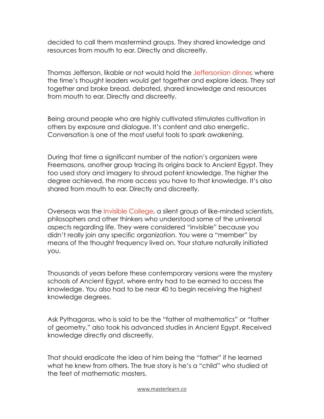decided to call them mastermind groups. They shared knowledge and resources from mouth to ear. Directly and discreetly.

Thomas Jefferson, likable or not would hold the [Jeffersonian dinner,](https://convers-ate.medium.com/what-is-a-jeffersonian-dinner-758fa0a3a55) where the time's thought leaders would get together and explore ideas. They sat together and broke bread, debated, shared knowledge and resources from mouth to ear. Directly and discreetly.

Being around people who are highly cultivated stimulates cultivation in others by exposure and dialogue. It's content and also energetic. Conversation is one of the most useful tools to spark awakening.

During that time a significant number of the nation's organizers were Freemasons, another group tracing its origins back to Ancient Egypt. They too used story and imagery to shroud potent knowledge. The higher the degree achieved, the more access you have to that knowledge. It's also shared from mouth to ear. Directly and discreetly.

Overseas was the [Invisible College,](https://en.wikipedia.org/wiki/Invisible_College) a silent group of like-minded scientists, philosophers and other thinkers who understood some of the universal aspects regarding life. They were considered "invisible" because you didn't really join any specific organization. You were a "member" by means of the thought frequency lived on. Your stature naturally initiated you.

Thousands of years before these contemporary versions were the mystery schools of Ancient Egypt, where entry had to be earned to access the knowledge. You also had to be near 40 to begin receiving the highest knowledge degrees.

Ask Pythagoras, who is said to be the "father of mathematics" or "father of geometry," also took his advanced studies in Ancient Egypt. Received knowledge directly and discreetly.

That should eradicate the idea of him being the "father" if he learned what he knew from others. The true story is he's a "child" who studied at the feet of mathematic masters.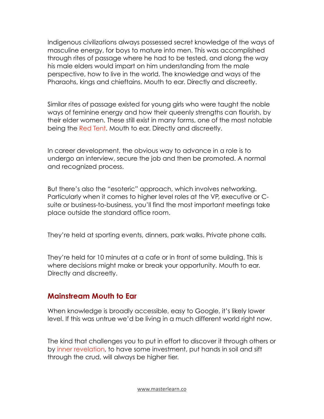Indigenous civilizations always possessed secret knowledge of the ways of masculine energy, for boys to mature into men. This was accomplished through rites of passage where he had to be tested, and along the way his male elders would impart on him understanding from the male perspective, how to live in the world. The knowledge and ways of the Pharaohs, kings and chieftains. Mouth to ear. Directly and discreetly.

Similar rites of passage existed for young girls who were taught the noble ways of feminine energy and how their queenly strengths can flourish, by their elder women. These still exist in many forms, one of the most notable being the [Red Tent.](https://redtentdirectory.com/) Mouth to ear. Directly and discreetly.

In career development, the obvious way to advance in a role is to undergo an interview, secure the job and then be promoted. A normal and recognized process.

But there's also the "esoteric" approach, which involves networking. Particularly when it comes to higher level roles at the VP, executive or Csuite or business-to-business, you'll find the most important meetings take place outside the standard office room.

They're held at sporting events, dinners, park walks. Private phone calls.

They're held for 10 minutes at a cafe or in front of some building. This is where decisions might make or break your opportunity. Mouth to ear. Directly and discreetly.

#### **Mainstream Mouth to Ear**

When knowledge is broadly accessible, easy to Google, it's likely lower level. If this was untrue we'd be living in a much different world right now.

The kind that challenges you to put in effort to discover it through others or by [inner revelation,](https://www.crownofmind.com/a-body-mind-blueprint-for-intuition-power/) to have some investment, put hands in soil and sift through the crud, will always be higher tier.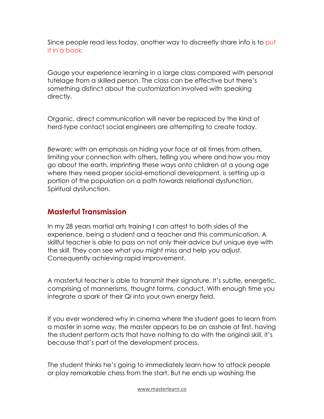Since people read less today, another way to discreetly share info is to [put](https://www.cnbc.com/2019/01/29/24-percent-of-american-adults-havent-read-a-book-in-the-past-year--heres-why-.html)  [it in a book](https://www.cnbc.com/2019/01/29/24-percent-of-american-adults-havent-read-a-book-in-the-past-year--heres-why-.html).

Gauge your experience learning in a large class compared with personal tutelage from a skilled person. The class can be effective but there's something distinct about the customization involved with speaking directly.

Organic, direct communication will never be replaced by the kind of herd-type contact social engineers are attempting to create today.

*Beware:* with an emphasis on hiding your face at all times from others, limiting your connection with others, telling you where and how you may go about the earth, imprinting these ways onto children at a young age where they need proper social-emotional development, is setting up a portion of the population on a path towards relational dysfunction. Spiritual dysfunction.

#### **Masterful Transmission**

In my 28 years martial arts training I can attest to both sides of the experience, being a student and a teacher and this communication. A skillful teacher is able to pass on not only their advice but unique eye with the skill. They can see what you might miss and help you adjust. Consequently achieving rapid improvement.

A masterful teacher is able to transmit their signature. It's subtle, energetic, comprising of mannerisms, thought forms, conduct. With enough time you integrate a spark of their Qi into your own energy field.

If you ever wondered why in cinema where the student goes to learn from a master in some way, the master appears to be an asshole at first, having the student perform acts that have nothing to do with the original skill, it's because that's part of the development process.

The student thinks he's going to immediately learn how to attack people or play remarkable chess from the start. But he ends up washing the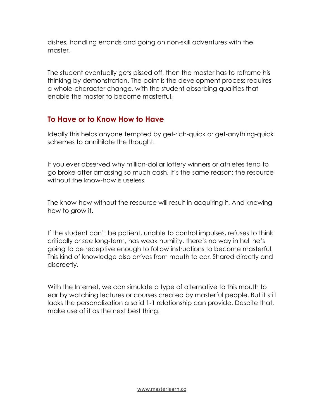dishes, handling errands and going on non-skill adventures with the master.

The student eventually gets pissed off, then the master has to reframe his thinking by demonstration. The point is the development process requires a whole-character change, with the student absorbing qualities that enable the master to become masterful.

### **To Have or to Know How to Have**

Ideally this helps anyone tempted by get-rich-quick or get-anything-quick schemes to annihilate the thought.

If you ever observed why million-dollar lottery winners or athletes tend to go broke after amassing so much cash, it's the same reason: the resource without the know-how is useless.

The know-how without the resource will result in acquiring it. And knowing how to grow it.

If the student can't be patient, unable to control impulses, refuses to think critically or see long-term, has weak humility, there's no way in hell he's going to be receptive enough to follow instructions to become masterful. This kind of knowledge also arrives from mouth to ear. Shared directly and discreetly.

With the Internet, we can simulate a type of alternative to this mouth to ear by watching lectures or courses created by masterful people. But it still lacks the personalization a solid 1-1 relationship can provide. Despite that, make use of it as the next best thing.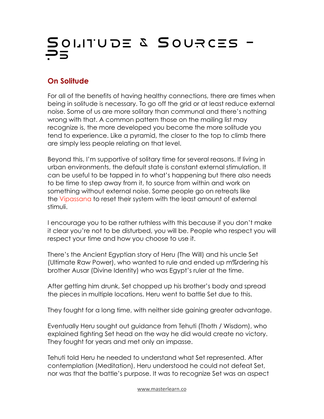# Solitude & Sources -  $\Xi$

# **On Solitude**

For all of the benefits of having healthy connections, there are times when being in solitude is necessary. To go off the grid or at least reduce external noise. Some of us are more solitary than communal and there's nothing wrong with that. A common pattern those on the mailing list may recognize is, the more developed you become the more solitude you tend to experience. Like a pyramid, the closer to the top to climb there are simply less people relating on that level.

Beyond this, I'm supportive of solitary time for several reasons. If living in urban environments, the default state is constant external stimulation. It can be useful to be tapped in to what's happening but there also needs to be time to step away from it, to source from within and work on something without external noise. Some people go on retreats like the [Vipassana](https://www.dhamma.org/en-US/index) to reset their system with the least amount of external stimuli.

I encourage you to be rather ruthless with this because if you don't make it clear you're not to be disturbed, you will be. People who respect you will respect your time and how you choose to use it.

There's the Ancient Egyptian story of Heru (The Will) and his uncle Set (Ultimate Raw Power), who wanted to rule and ended up m%rdering his brother Ausar (Divine Identity) who was Egypt's ruler at the time.

After getting him drunk, Set chopped up his brother's body and spread the pieces in multiple locations. Heru went to battle Set due to this.

They fought for a long time, with neither side gaining greater advantage.

Eventually Heru sought out guidance from Tehuti (Thoth / Wisdom), who explained fighting Set head on the way he did would create no victory. They fought for years and met only an impasse.

Tehuti told Heru he needed to understand what Set represented. After contemplation (Meditation), Heru understood he could not defeat Set, nor was that the battle's purpose. It was to recognize Set was an aspect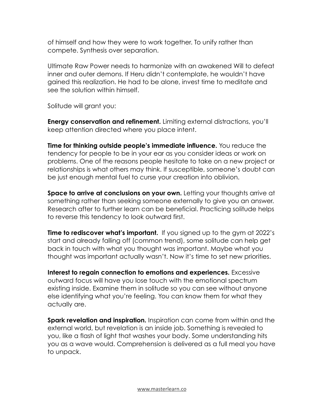of himself and how they were to work together. To unify rather than compete. Synthesis over separation.

Ultimate Raw Power needs to harmonize with an awakened Will to defeat inner and outer demons. If Heru didn't contemplate, he wouldn't have gained this realization. He had to be alone, invest time to meditate and see the solution within himself.

Solitude will grant you:

**Energy conservation and refinement.** Limiting external distractions, you'll keep attention directed where you place intent.

**Time for thinking outside people's immediate influence.** You reduce the tendency for people to be in your ear as you consider ideas or work on problems. One of the reasons people hesitate to take on a new project or relationships is what others may think. If susceptible, someone's doubt can be just enough mental fuel to curse your creation into oblivion.

**Space to arrive at conclusions on your own.** Letting your thoughts arrive at something rather than seeking someone externally to give you an answer. Research after to further learn can be beneficial. Practicing solitude helps to reverse this tendency to look outward first.

**Time to rediscover what's important.** If you signed up to the gym at 2022's start and already falling off (common trend), some solitude can help get back in touch with what you thought was important. Maybe what you thought was important actually wasn't. Now it's time to set new priorities.

**Interest to regain connection to emotions and experiences.** Excessive outward focus will have you lose touch with the emotional spectrum existing inside. Examine them in solitude so you can see without anyone else identifying what you're feeling. You can know them for what they actually are.

**Spark revelation and inspiration.** Inspiration can come from within and the external world, but revelation is an inside job. Something is revealed to you, like a flash of light that washes your body. Some understanding hits you as a wave would. Comprehension is delivered as a full meal you have to unpack.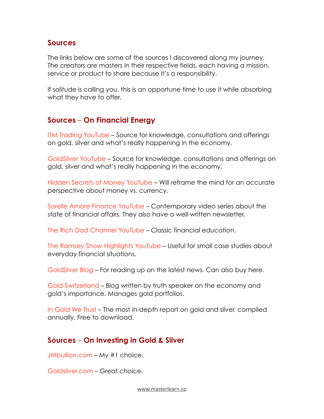#### **Sources**

The links below are some of the sources I discovered along my journey. The creators are masters in their respective fields, each having a mission, service or product to share because it's a responsibility.

If solitude is calling you, this is an opportune time to use it while absorbing what they have to offer.

#### **Sources** – **On Financial Energy**

[ITM Trading YouTube](https://www.youtube.com/c/itmtrading) – Source for knowledge, consultations and offerings on gold, silver and what's really happening in the economy.

[GoldSilver YouTube](https://www.youtube.com/c/Goldsilver) – Source for knowledge, consultations and offerings on gold, silver and what's really happening in the economy.

[Hidden Secrets of Money YouTube](https://www.youtube.com/c/Goldsilver/search?query=hidden%20secrets%20of%20money) – Will reframe the mind for an accurate perspective about money vs. currency.

[Sorelle Amore Finance YouTube](https://www.youtube.com/c/SorelleAmoreFinance) – Contemporary video series about the state of financial affairs. They also have a well-written newsletter.

[The Rich Dad Channel](https://www.youtube.com/c/TheRichDadChannel) YouTube – Classic financial education.

[The Ramsey Show Highlights YouTube](https://www.youtube.com/c/TheRamseyShow) – Useful for small case studies about everyday financial situations.

[GoldSilver Blog](https://goldsilver.com/industry-news/) – For reading up on the latest news. Can also buy here.

[Gold Switzerland](https://goldswitzerland.com/media-reports/market-insights/) – Blog written by truth speaker on the economy and gold's importance. Manages gold portfolios.

[In Gold We Trust](https://ingoldwetrust.report/) – The most in-depth report on gold and silver, compiled annually. Free to download.

#### **Sources** – **On Investing in Gold & Silver**

[JMbullion.com](https://www.jmbullion.com/) – My #1 choice.

[Goldsilver.com](https://goldsilver.com/) – Great choice.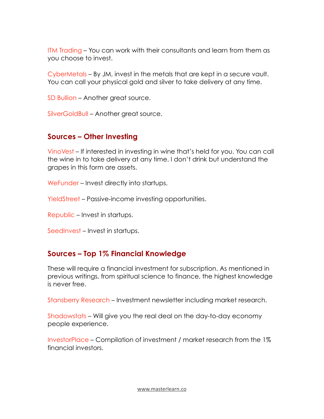[ITM Trading](https://www.itmtrading.com/) – You can work with their consultants and learn from them as you choose to invest.

[CyberMetals](https://www.cybermetals.com/) – By JM, invest in the metals that are kept in a secure vault. You can call your physical gold and silver to take delivery at any time.

[SD Bullion](https://sdbullion.com/) – Another great source.

[SilverGoldBull](https://silvergoldbull.com/) – Another great source.

#### **Sources – Other Investing**

[VinoVest](https://www.vinovest.co/) – If interested in investing in wine that's held for you. You can call the wine in to take delivery at any time. I don't drink but understand the grapes in this form are assets.

[WeFunder](https://wefunder.com/) – Invest directly into startups.

[YieldStreet](https://www.yieldstreet.com/) – Passive-income investing opportunities.

[Republic](https://republic.com/) – Invest in startups.

[SeedInvest](https://www.seedinvest.com/) – Invest in startups.

#### **Sources – Top 1% Financial Knowledge**

These will require a financial investment for subscription. As mentioned in previous writings, from spiritual science to finance, the highest knowledge is never free.

[Stansberry Research](https://stansberryresearch.com/) – Investment newsletter including market research.

[Shadowstats](http://www.shadowstats.com/) – Will give you the real deal on the day-to-day economy people experience.

[InvestorPlace](https://investorplace.com/) – Compilation of investment / market research from the 1% financial investors.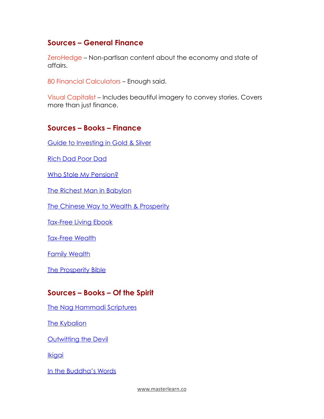#### **Sources – General Finance**

[ZeroHedge](https://www.zerohedge.com/) – Non-partisan content about the economy and state of affairs.

[80 Financial Calculators](https://financialmentor.com/calculator) – Enough said.

[Visual Capitalist](https://www.visualcapitalist.com/) – Includes beautiful imagery to convey stories. Covers more than just finance.

#### **Sources – Books – Finance**

[Guide to Investing in Gold & Silver](https://www.amazon.com/Guide-Investing-Gold-Silver-Financial/dp/1937832740/ref=sr_1_1?keywords=guide+to+investing+in+gold+and+silver+maloney&qid=1651547891&sprefix=guide+to+investing+in+gold%2Caps%2C93&sr=8-1)

[Rich Dad Poor Dad](https://www.amazon.com/Rich-Dad-Poor-Teach-Middle/dp/1612680194/ref=sr_1_1?crid=30OUPB36DOH33&keywords=Rich+dad+poor+dad&qid=1651547913&sprefix=rich+dad+poor+dad%2Caps%2C75&sr=8-1)

[Who Stole My Pension?](https://www.amazon.com/Who-Stole-My-Pension-Looting/dp/1612681034/ref=sr_1_1?crid=35L7WPH829OYS&keywords=who+stole+my+pension&qid=1651547932&sprefix=who+stole+my+pension%2Caps%2C72&sr=8-1)

[The Richest Man in Babylon](https://www.amazon.com/Richest-Babylon-RICHEST-BABYLON-Paperback/dp/B00QPJQVXK/ref=sr_1_10?keywords=richest+man+in+babylon+book&qid=1651547953&sprefix=richest+man+in%2Caps%2C80&sr=8-10)

[The Chinese Way to Wealth & Prosperity](https://www.amazon.com/Chinese-Way-Wealth-Prosperity-Strategies/dp/0071788727/ref=sr_1_1?crid=10MV357ES5D1K&keywords=Chinese+way+to+wealth+%26+prosperity&qid=1651547983&sprefix=chinese+way+to+wealth+%26+prosperity%2Caps%2C71&sr=8-1)

[Tax-Free Living Ebook](https://www.taxfreelivingbook.com/ebook47554345)

[Tax-Free Wealth](https://www.amazon.com/Tax-Free-Wealth-Permanently-Lowering-Advisors/dp/1947588052/ref=sr_1_1?crid=32A5VWMYW9148&keywords=tax+free+wealth&qid=1651548024&sprefix=tax+free+wealth%2Caps%2C69&sr=8-1)

[Family Wealth](https://www.amazon.com/Family-Wealth-Keeping-Intellectual-Financial-Generations/dp/157660151X/ref=sr_1_1?crid=1NBF6H72D0TM1&keywords=family+wealth&qid=1651548045&sprefix=family+wealth%2Caps%2C71&sr=8-1)

[The Prosperity Bible](https://www.amazon.com/Prosperity-Bible-Greatest-Writings-Secrets/dp/1585429147/ref=sr_1_1?crid=22G40FS6N4ML1&keywords=the+prosperity+bible&qid=1651548079&sprefix=the+prosperity+bible%2Caps%2C75&sr=8-1)

#### **Sources – Books – Of the Spirit**

[The Nag Hammadi Scriptures](https://www.amazon.com/Nag-Hammadi-Scriptures-Translation-Complete/dp/0061626007/ref=sr_1_1?keywords=nag+hammadi+scriptures&qid=1651548108&sprefix=nag+hamma%2Caps%2C86&sr=8-1)

**[The Kybalion](https://www.amazon.com/Kybalion-Centenary-Three-Initiates/dp/0143131680/ref=sr_1_3?crid=7Y2PAT7BYRMM&keywords=the+kybalion&qid=1651548125&sprefix=the+kybalion%2Caps%2C79&sr=8-3)** 

**[Outwitting the Devil](https://www.amazon.com/Outwitting-Devil-Official-Publication-Foundation/dp/1640951830/ref=sr_1_1?keywords=outwitting+the+devil&qid=1651548147&sprefix=outwitting+the%2Caps%2C69&sr=8-1)** 

**[Ikigai](https://www.amazon.com/Ikigai-Japanese-Secret-Long-Happy/dp/0143130722/ref=sr_1_1?keywords=ikigai+the+japanese+secret+to+along+and+happy+life&qid=1651548167&sprefix=ikigai%2Caps%2C66&sr=8-1)** 

[In the Buddha's Words](https://www.amazon.com/Buddhas-Words-Anthology-Discourses-Teachings/dp/0861714911/ref=sr_1_1?crid=1195X98PUH3IT&keywords=in+the+buddha%27s+words&qid=1651548187&sprefix=in+the+buddha%27s+words%2Caps%2C69&sr=8-1)